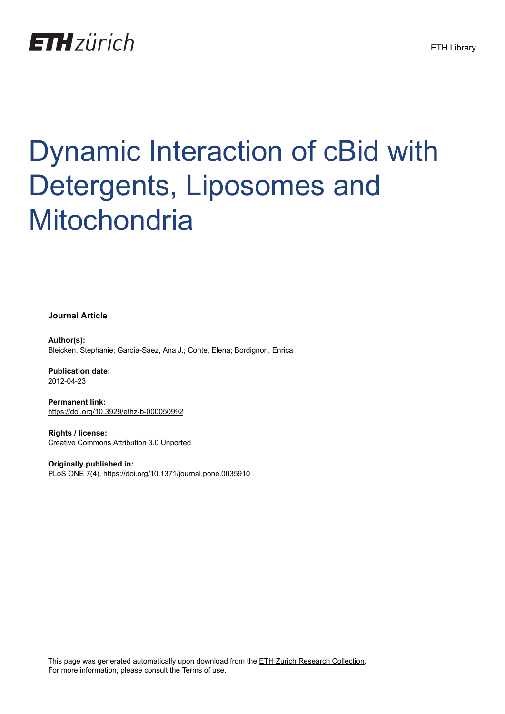

# Dynamic Interaction of cBid with Detergents, Liposomes and **Mitochondria**

**Journal Article**

**Author(s):** Bleicken, Stephanie; García-Sáez, Ana J.; Conte, Elena; Bordignon, Enrica

**Publication date:** 2012-04-23

**Permanent link:** <https://doi.org/10.3929/ethz-b-000050992>

**Rights / license:** [Creative Commons Attribution 3.0 Unported](http://creativecommons.org/licenses/by/3.0/)

**Originally published in:** PLoS ONE 7(4), <https://doi.org/10.1371/journal.pone.0035910>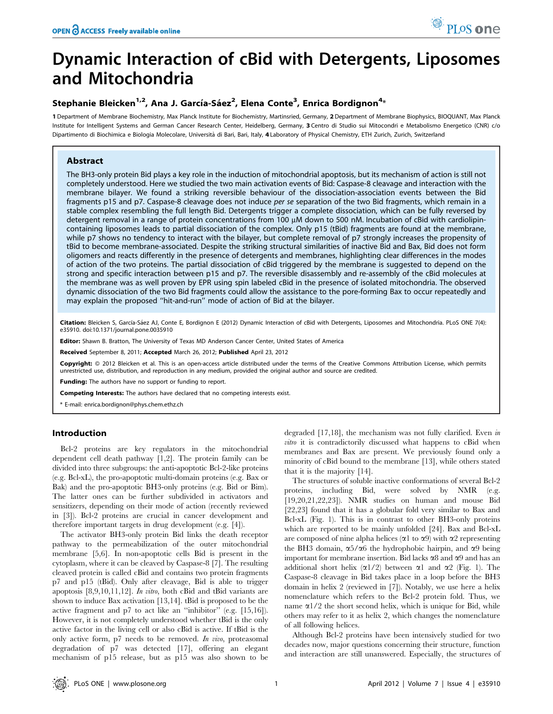# Dynamic Interaction of cBid with Detergents, Liposomes and Mitochondria

# Stephanie Bleicken<sup>1,2</sup>, Ana J. García-Sáez<sup>2</sup>, Elena Conte<sup>3</sup>, Enrica Bordignon<sup>4</sup>\*

1 Department of Membrane Biochemistry, Max Planck Institute for Biochemistry, Martinsried, Germany, 2 Department of Membrane Biophysics, BIOQUANT, Max Planck Institute for Intelligent Systems and German Cancer Research Center, Heidelberg, Germany, 3 Centro di Studio sui Mitocondri e Metabolismo Energetico (CNR) c/o Dipartimento di Biochimica e Biologia Molecolare, Università di Bari, Bari, Italy, 4 Laboratory of Physical Chemistry, ETH Zurich, Zurich, Switzerland

# Abstract

The BH3-only protein Bid plays a key role in the induction of mitochondrial apoptosis, but its mechanism of action is still not completely understood. Here we studied the two main activation events of Bid: Caspase-8 cleavage and interaction with the membrane bilayer. We found a striking reversible behaviour of the dissociation-association events between the Bid fragments p15 and p7. Caspase-8 cleavage does not induce per se separation of the two Bid fragments, which remain in a stable complex resembling the full length Bid. Detergents trigger a complete dissociation, which can be fully reversed by detergent removal in a range of protein concentrations from 100 µM down to 500 nM. Incubation of cBid with cardiolipincontaining liposomes leads to partial dissociation of the complex. Only p15 (tBid) fragments are found at the membrane, while p7 shows no tendency to interact with the bilayer, but complete removal of p7 strongly increases the propensity of tBid to become membrane-associated. Despite the striking structural similarities of inactive Bid and Bax, Bid does not form oligomers and reacts differently in the presence of detergents and membranes, highlighting clear differences in the modes of action of the two proteins. The partial dissociation of cBid triggered by the membrane is suggested to depend on the strong and specific interaction between p15 and p7. The reversible disassembly and re-assembly of the cBid molecules at the membrane was as well proven by EPR using spin labeled cBid in the presence of isolated mitochondria. The observed dynamic dissociation of the two Bid fragments could allow the assistance to the pore-forming Bax to occur repeatedly and may explain the proposed ''hit-and-run'' mode of action of Bid at the bilayer.

Citation: Bleicken S, García-Sáez AJ, Conte E, Bordignon E (2012) Dynamic Interaction of cBid with Detergents, Liposomes and Mitochondria. PLoS ONE 7(4): e35910. doi:10.1371/journal.pone.0035910

Editor: Shawn B. Bratton, The University of Texas MD Anderson Cancer Center, United States of America

Received September 8, 2011; Accepted March 26, 2012; Published April 23, 2012

Copyright: © 2012 Bleicken et al. This is an open-access article distributed under the terms of the Creative Commons Attribution License, which permits unrestricted use, distribution, and reproduction in any medium, provided the original author and source are credited.

Funding: The authors have no support or funding to report.

Competing Interests: The authors have declared that no competing interests exist.

\* E-mail: enrica.bordignon@phys.chem.ethz.ch

# Introduction

Bcl-2 proteins are key regulators in the mitochondrial dependent cell death pathway [1,2]. The protein family can be divided into three subgroups: the anti-apoptotic Bcl-2-like proteins (e.g. Bcl-xL), the pro-apoptotic multi-domain proteins (e.g. Bax or Bak) and the pro-apoptotic BH3-only proteins (e.g. Bid or Bim). The latter ones can be further subdivided in activators and sensitizers, depending on their mode of action (recently reviewed in [3]). Bcl-2 proteins are crucial in cancer development and therefore important targets in drug development (e.g. [4]).

The activator BH3-only protein Bid links the death receptor pathway to the permeabilization of the outer mitochondrial membrane [5,6]. In non-apoptotic cells Bid is present in the cytoplasm, where it can be cleaved by Caspase-8 [7]. The resulting cleaved protein is called cBid and contains two protein fragments p7 and p15 (tBid). Only after cleavage, Bid is able to trigger apoptosis  $[8,9,10,11,12]$ . *In vitro*, both cBid and tBid variants are shown to induce Bax activation [13,14]. tBid is proposed to be the active fragment and p7 to act like an ''inhibitor'' (e.g. [15,16]). However, it is not completely understood whether tBid is the only active factor in the living cell or also cBid is active. If tBid is the only active form, p7 needs to be removed. In vivo, proteasomal degradation of p7 was detected [17], offering an elegant mechanism of p15 release, but as p15 was also shown to be

degraded [17,18], the mechanism was not fully clarified. Even in vitro it is contradictorily discussed what happens to cBid when membranes and Bax are present. We previously found only a minority of cBid bound to the membrane [13], while others stated that it is the majority [14].

The structures of soluble inactive conformations of several Bcl-2 proteins, including Bid, were solved by NMR (e.g. [19,20,21,22,23]). NMR studies on human and mouse Bid [22,23] found that it has a globular fold very similar to Bax and Bcl-xL (Fig. 1). This is in contrast to other BH3-only proteins which are reported to be mainly unfolded [24]. Bax and Bcl-xL are composed of nine alpha helices ( $\alpha$ 1 to  $\alpha$ 9) with  $\alpha$ 2 representing the BH3 domain,  $\alpha$ 5/ $\alpha$ 6 the hydrophobic hairpin, and  $\alpha$ 9 being important for membrane insertion. Bid lacks  $\alpha$ 8 and  $\alpha$ 9 and has an additional short helix  $(\alpha 1/2)$  between  $\alpha 1$  and  $\alpha 2$  (Fig. 1). The Caspase-8 cleavage in Bid takes place in a loop before the BH3 domain in helix 2 (reviewed in [7]). Notably, we use here a helix nomenclature which refers to the Bcl-2 protein fold. Thus, we name  $\alpha$ 1/2 the short second helix, which is unique for Bid, while others may refer to it as helix 2, which changes the nomenclature of all following helices.

Although Bcl-2 proteins have been intensively studied for two decades now, major questions concerning their structure, function and interaction are still unanswered. Especially, the structures of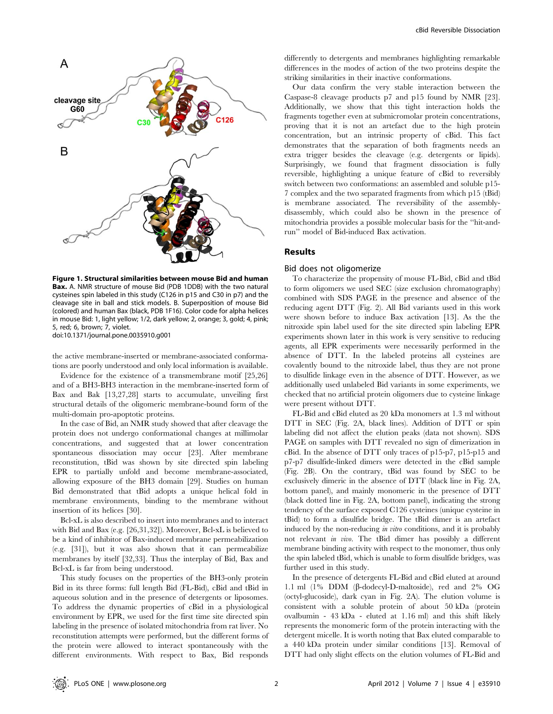

Figure 1. Structural similarities between mouse Bid and human Bax. A. NMR structure of mouse Bid (PDB 1DDB) with the two natural cysteines spin labeled in this study (C126 in p15 and C30 in p7) and the cleavage site in ball and stick models. B. Superposition of mouse Bid (colored) and human Bax (black, PDB 1F16). Color code for alpha helices in mouse Bid: 1, light yellow; 1/2, dark yellow; 2, orange; 3, gold; 4, pink; 5, red; 6, brown; 7, violet. doi:10.1371/journal.pone.0035910.g001

the active membrane-inserted or membrane-associated conformations are poorly understood and only local information is available.

Evidence for the existence of a transmembrane motif [25,26] and of a BH3-BH3 interaction in the membrane-inserted form of Bax and Bak [13,27,28] starts to accumulate, unveiling first structural details of the oligomeric membrane-bound form of the multi-domain pro-apoptotic proteins.

In the case of Bid, an NMR study showed that after cleavage the protein does not undergo conformational changes at millimolar concentrations, and suggested that at lower concentration spontaneous dissociation may occur [23]. After membrane reconstitution, tBid was shown by site directed spin labeling EPR to partially unfold and become membrane-associated, allowing exposure of the BH3 domain [29]. Studies on human Bid demonstrated that tBid adopts a unique helical fold in membrane environments, binding to the membrane without insertion of its helices [30].

Bcl-xL is also described to insert into membranes and to interact with Bid and Bax (e.g. [26,31,32]). Moreover, Bcl-xL is believed to be a kind of inhibitor of Bax-induced membrane permeabilization (e.g. [31]), but it was also shown that it can permeabilize membranes by itself [32,33]. Thus the interplay of Bid, Bax and Bcl-xL is far from being understood.

This study focuses on the properties of the BH3-only protein Bid in its three forms: full length Bid (FL-Bid), cBid and tBid in aqueous solution and in the presence of detergents or liposomes. To address the dynamic properties of cBid in a physiological environment by EPR, we used for the first time site directed spin labeling in the presence of isolated mitochondria from rat liver. No reconstitution attempts were performed, but the different forms of the protein were allowed to interact spontaneously with the different environments. With respect to Bax, Bid responds

differently to detergents and membranes highlighting remarkable differences in the modes of action of the two proteins despite the striking similarities in their inactive conformations.

Our data confirm the very stable interaction between the Caspase-8 cleavage products p7 and p15 found by NMR [23]. Additionally, we show that this tight interaction holds the fragments together even at submicromolar protein concentrations, proving that it is not an artefact due to the high protein concentration, but an intrinsic property of cBid. This fact demonstrates that the separation of both fragments needs an extra trigger besides the cleavage (e.g. detergents or lipids). Surprisingly, we found that fragment dissociation is fully reversible, highlighting a unique feature of cBid to reversibly switch between two conformations: an assembled and soluble p15- 7 complex and the two separated fragments from which p15 (tBid) is membrane associated. The reversibility of the assemblydisassembly, which could also be shown in the presence of mitochondria provides a possible molecular basis for the ''hit-andrun'' model of Bid-induced Bax activation.

#### Results

#### Bid does not oligomerize

To characterize the propensity of mouse FL-Bid, cBid and tBid to form oligomers we used SEC (size exclusion chromatography) combined with SDS PAGE in the presence and absence of the reducing agent DTT (Fig. 2). All Bid variants used in this work were shown before to induce Bax activation [13]. As the the nitroxide spin label used for the site directed spin labeling EPR experiments shown later in this work is very sensitive to reducing agents, all EPR experiments were necessarily performed in the absence of DTT. In the labeled proteins all cysteines are covalently bound to the nitroxide label, thus they are not prone to disulfide linkage even in the absence of DTT. However, as we additionally used unlabeled Bid variants in some experiments, we checked that no artificial protein oligomers due to cysteine linkage were present without DTT.

FL-Bid and cBid eluted as 20 kDa monomers at 1.3 ml without DTT in SEC (Fig. 2A, black lines). Addition of DTT or spin labeling did not affect the elution peaks (data not shown). SDS PAGE on samples with DTT revealed no sign of dimerization in cBid. In the absence of DTT only traces of p15-p7, p15-p15 and p7-p7 disulfide-linked dimers were detected in the cBid sample (Fig. 2B). On the contrary, tBid was found by SEC to be exclusively dimeric in the absence of DTT (black line in Fig. 2A, bottom panel), and mainly monomeric in the presence of DTT (black dotted line in Fig. 2A, bottom panel), indicating the strong tendency of the surface exposed C126 cysteines (unique cysteine in tBid) to form a disulfide bridge. The tBid dimer is an artefact induced by the non-reducing in vitro conditions, and it is probably not relevant in vivo. The tBid dimer has possibly a different membrane binding activity with respect to the monomer, thus only the spin labeled tBid, which is unable to form disulfide bridges, was further used in this study.

In the presence of detergents FL-Bid and cBid eluted at around 1.1 ml (1% DDM (b-dodecyl-D-maltoside), red and 2% OG (octyl-glucoside), dark cyan in Fig. 2A). The elution volume is consistent with a soluble protein of about 50 kDa (protein ovalbumin - 43 kDa - eluted at 1.16 ml) and this shift likely represents the monomeric form of the protein interacting with the detergent micelle. It is worth noting that Bax eluted comparable to a 440 kDa protein under similar conditions [13]. Removal of DTT had only slight effects on the elution volumes of FL-Bid and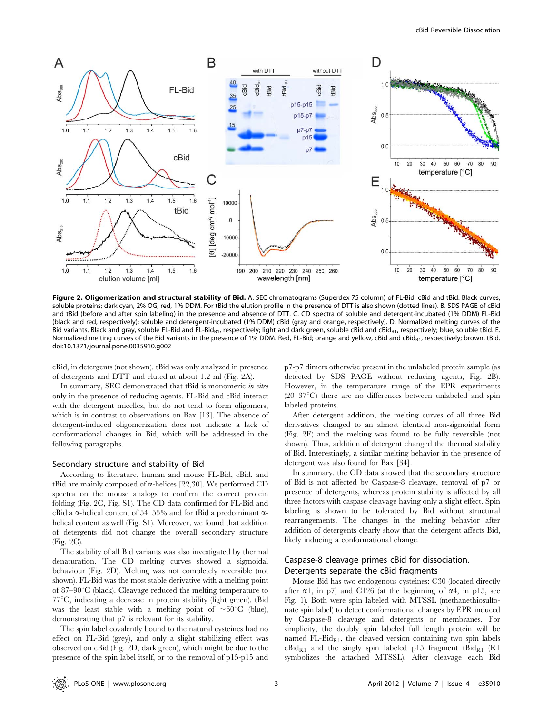

Figure 2. Oligomerization and structural stability of Bid. A. SEC chromatograms (Superdex 75 column) of FL-Bid, cBid and tBid. Black curves, soluble proteins; dark cyan, 2% OG; red, 1% DDM. For tBid the elution profile in the presence of DTT is also shown (dotted lines). B. SDS PAGE of cBid and tBid (before and after spin labeling) in the presence and absence of DTT. C. CD spectra of soluble and detergent-incubated (1% DDM) FL-Bid (black and red, respectively); soluble and detergent-incubated (1% DDM) cBid (gray and orange, respectively). D. Normalized melting curves of the Bid variants. Black and gray, soluble FL-Bid and FL-Bid<sub>R1</sub>, respectively; light and dark green, soluble cBid and cBid<sub>R1</sub>, respectively; blue, soluble tBid. E. Normalized melting curves of the Bid variants in the presence of 1% DDM. Red, FL-Bid; orange and yellow, cBid and cBidR1, respectively; brown, tBid. doi:10.1371/journal.pone.0035910.g002

cBid, in detergents (not shown). tBid was only analyzed in presence of detergents and DTT and eluted at about 1.2 ml (Fig. 2A).

In summary, SEC demonstrated that tBid is monomeric in vitro only in the presence of reducing agents. FL-Bid and cBid interact with the detergent micelles, but do not tend to form oligomers, which is in contrast to observations on Bax [13]. The absence of detergent-induced oligomerization does not indicate a lack of conformational changes in Bid, which will be addressed in the following paragraphs.

#### Secondary structure and stability of Bid

According to literature, human and mouse FL-Bid, cBid, and tBid are mainly composed of  $\alpha$ -helices [22,30]. We performed CD spectra on the mouse analogs to confirm the correct protein folding (Fig. 2C, Fig. S1). The CD data confirmed for FL-Bid and cBid a  $\alpha$ -helical content of 54–55% and for tBid a predominant  $\alpha$ helical content as well (Fig. S1). Moreover, we found that addition of detergents did not change the overall secondary structure (Fig. 2C).

The stability of all Bid variants was also investigated by thermal denaturation. The CD melting curves showed a sigmoidal behaviour (Fig. 2D). Melting was not completely reversible (not shown). FL-Bid was the most stable derivative with a melting point of 87–90 $\mathrm{C}$  (black). Cleavage reduced the melting temperature to  $77^{\circ}$ C, indicating a decrease in protein stability (light green). tBid was the least stable with a melting point of  $\sim 60^{\circ}$ C (blue), demonstrating that p7 is relevant for its stability.

The spin label covalently bound to the natural cysteines had no effect on FL-Bid (grey), and only a slight stabilizing effect was observed on cBid (Fig. 2D, dark green), which might be due to the presence of the spin label itself, or to the removal of p15-p15 and p7-p7 dimers otherwise present in the unlabeled protein sample (as detected by SDS PAGE without reducing agents, Fig. 2B). However, in the temperature range of the EPR experiments  $(20-37\degree C)$  there are no differences between unlabeled and spin labeled proteins.

After detergent addition, the melting curves of all three Bid derivatives changed to an almost identical non-sigmoidal form (Fig. 2E) and the melting was found to be fully reversible (not shown). Thus, addition of detergent changed the thermal stability of Bid. Interestingly, a similar melting behavior in the presence of detergent was also found for Bax [34].

In summary, the CD data showed that the secondary structure of Bid is not affected by Caspase-8 cleavage, removal of p7 or presence of detergents, whereas protein stability is affected by all three factors with caspase cleavage having only a slight effect. Spin labeling is shown to be tolerated by Bid without structural rearrangements. The changes in the melting behavior after addition of detergents clearly show that the detergent affects Bid, likely inducing a conformational change.

# Caspase-8 cleavage primes cBid for dissociation. Detergents separate the cBid fragments

Mouse Bid has two endogenous cysteines: C30 (located directly after  $\alpha$ 1, in p7) and C126 (at the beginning of  $\alpha$ 4, in p15, see Fig. 1). Both were spin labeled with MTSSL (methanethiosulfonate spin label) to detect conformational changes by EPR induced by Caspase-8 cleavage and detergents or membranes. For simplicity, the doubly spin labeled full length protein will be named  $FL-Bid<sub>R1</sub>$ , the cleaved version containing two spin labels  $cBid_{R1}$  and the singly spin labeled p15 fragment t $Bid_{R1}$  (R1 symbolizes the attached MTSSL). After cleavage each Bid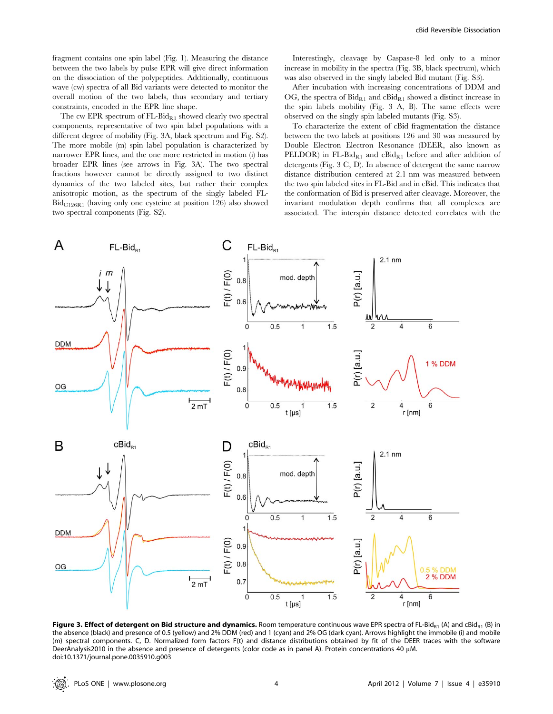fragment contains one spin label (Fig. 1). Measuring the distance between the two labels by pulse EPR will give direct information on the dissociation of the polypeptides. Additionally, continuous wave (cw) spectra of all Bid variants were detected to monitor the overall motion of the two labels, thus secondary and tertiary constraints, encoded in the EPR line shape.

The cw EPR spectrum of  $FL-Bid<sub>R1</sub>$  showed clearly two spectral components, representative of two spin label populations with a different degree of mobility (Fig. 3A, black spectrum and Fig. S2). The more mobile (m) spin label population is characterized by narrower EPR lines, and the one more restricted in motion (i) has broader EPR lines (see arrows in Fig. 3A). The two spectral fractions however cannot be directly assigned to two distinct dynamics of the two labeled sites, but rather their complex anisotropic motion, as the spectrum of the singly labeled FL- $Bid_{C126R1}$  (having only one cysteine at position 126) also showed two spectral components (Fig. S2).

Interestingly, cleavage by Caspase-8 led only to a minor increase in mobility in the spectra (Fig. 3B, black spectrum), which was also observed in the singly labeled Bid mutant (Fig. S3).

After incubation with increasing concentrations of DDM and OG, the spectra of  $Bid_{R_1}$  and  $cBid_{R_1}$  showed a distinct increase in the spin labels mobility (Fig. 3 A, B). The same effects were observed on the singly spin labeled mutants (Fig. S3).

To characterize the extent of cBid fragmentation the distance between the two labels at positions 126 and 30 was measured by Double Electron Electron Resonance (DEER, also known as PELDOR) in FL-Bid $_{R1}$  and cBid $_{R1}$  before and after addition of detergents (Fig. 3 C, D). In absence of detergent the same narrow distance distribution centered at 2.1 nm was measured between the two spin labeled sites in FL-Bid and in cBid. This indicates that the conformation of Bid is preserved after cleavage. Moreover, the invariant modulation depth confirms that all complexes are associated. The interspin distance detected correlates with the



Figure 3. Effect of detergent on Bid structure and dynamics. Room temperature continuous wave EPR spectra of FL-Bid<sub>R1</sub> (A) and cBid<sub>R1</sub> (B) in the absence (black) and presence of 0.5 (yellow) and 2% DDM (red) and 1 (cyan) and 2% OG (dark cyan). Arrows highlight the immobile (i) and mobile (m) spectral components. C, D. Normalized form factors F(t) and distance distributions obtained by fit of the DEER traces with the software DeerAnalysis2010 in the absence and presence of detergents (color code as in panel A). Protein concentrations 40 µM. doi:10.1371/journal.pone.0035910.g003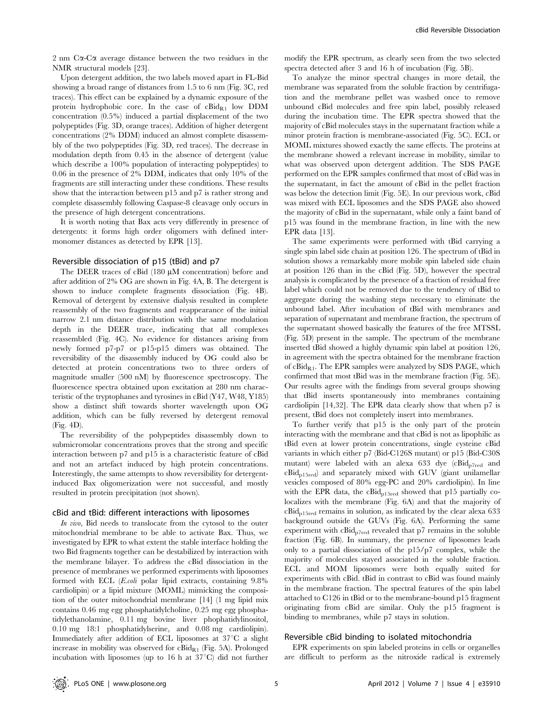2 nm  $C\alpha$ -C $\alpha$  average distance between the two residues in the NMR structural models [23].

Upon detergent addition, the two labels moved apart in FL-Bid showing a broad range of distances from 1.5 to 6 nm (Fig. 3C, red traces). This effect can be explained by a dynamic exposure of the protein hydrophobic core. In the case of  $cBid_{R1}$  low DDM concentration (0.5%) induced a partial displacement of the two polypeptides (Fig. 3D, orange traces). Addition of higher detergent concentrations (2% DDM) induced an almost complete disassembly of the two polypeptides (Fig. 3D, red traces). The decrease in modulation depth from 0.45 in the absence of detergent (value which describe a 100% population of interacting polypeptides) to 0.06 in the presence of 2% DDM, indicates that only 10% of the fragments are still interacting under these conditions. These results show that the interaction between p15 and p7 is rather strong and complete disassembly following Caspase-8 cleavage only occurs in the presence of high detergent concentrations.

It is worth noting that Bax acts very differently in presence of detergents: it forms high order oligomers with defined intermonomer distances as detected by EPR [13].

# Reversible dissociation of p15 (tBid) and p7

The DEER traces of cBid  $(180 \mu M)$  concentration) before and after addition of 2% OG are shown in Fig. 4A, B. The detergent is shown to induce complete fragments dissociation (Fig. 4B). Removal of detergent by extensive dialysis resulted in complete reassembly of the two fragments and reappearance of the initial narrow 2.1 nm distance distribution with the same modulation depth in the DEER trace, indicating that all complexes reassembled (Fig. 4C). No evidence for distances arising from newly formed p7-p7 or p15-p15 dimers was obtained. The reversibility of the disassembly induced by OG could also be detected at protein concentrations two to three orders of magnitude smaller (500 nM) by fluorescence spectroscopy. The fluorescence spectra obtained upon excitation at 280 nm characteristic of the tryptophanes and tyrosines in cBid (Y47, W48, Y185) show a distinct shift towards shorter wavelength upon OG addition, which can be fully reversed by detergent removal (Fig. 4D).

The reversibility of the polypeptides disassembly down to submicromolar concentrations proves that the strong and specific interaction between p7 and p15 is a characteristic feature of cBid and not an artefact induced by high protein concentrations. Interestingly, the same attempts to show reversibility for detergentinduced Bax oligomerization were not successful, and mostly resulted in protein precipitation (not shown).

#### cBid and tBid: different interactions with liposomes

In vivo, Bid needs to translocate from the cytosol to the outer mitochondrial membrane to be able to activate Bax. Thus, we investigated by EPR to what extent the stable interface holding the two Bid fragments together can be destabilized by interaction with the membrane bilayer. To address the cBid dissociation in the presence of membranes we performed experiments with liposomes formed with ECL (E.coli polar lipid extracts, containing 9.8% cardiolipin) or a lipid mixture (MOML) mimicking the composition of the outer mitochondrial membrane [14] (1 mg lipid mix contains 0.46 mg egg phosphatidylcholine, 0.25 mg egg phosphatidylethanolamine, 0.11 mg bovine liver phophatidylinositol, 0.10 mg 18:1 phosphatidylserine, and 0.08 mg cardiolipin). Immediately after addition of ECL liposomes at  $37^{\circ}$ C a slight increase in mobility was observed for  $cBid_{R1}$  (Fig. 5A). Prolonged incubation with liposomes (up to 16 h at  $37^{\circ}$ C) did not further modify the EPR spectrum, as clearly seen from the two selected spectra detected after 3 and 16 h of incubation (Fig. 5B).

To analyze the minor spectral changes in more detail, the membrane was separated from the soluble fraction by centrifugation and the membrane pellet was washed once to remove unbound cBid molecules and free spin label, possibly released during the incubation time. The EPR spectra showed that the majority of cBid molecules stays in the supernatant fraction while a minor protein fraction is membrane-associated (Fig. 5C). ECL or MOML mixtures showed exactly the same effects. The proteins at the membrane showed a relevant increase in mobility, similar to what was observed upon detergent addition. The SDS PAGE performed on the EPR samples confirmed that most of cBid was in the supernatant, in fact the amount of cBid in the pellet fraction was below the detection limit (Fig. 5E). In our previous work, cBid was mixed with ECL liposomes and the SDS PAGE also showed the majority of cBid in the supernatant, while only a faint band of p15 was found in the membrane fraction, in line with the new EPR data [13].

The same experiments were performed with tBid carrying a single spin label side chain at position 126. The spectrum of tBid in solution shows a remarkably more mobile spin labeled side chain at position 126 than in the cBid (Fig. 5D), however the spectral analysis is complicated by the presence of a fraction of residual free label which could not be removed due to the tendency of tBid to aggregate during the washing steps necessary to eliminate the unbound label. After incubation of tBid with membranes and separation of supernatant and membrane fraction, the spectrum of the supernatant showed basically the features of the free MTSSL (Fig. 5D) present in the sample. The spectrum of the membrane inserted tBid showed a highly dynamic spin label at position 126, in agreement with the spectra obtained for the membrane fraction of  $cBid_{R1}$ . The EPR samples were analyzed by SDS PAGE, which confirmed that most tBid was in the membrane fraction (Fig. 5E). Our results agree with the findings from several groups showing that tBid inserts spontaneously into membranes containing cardiolipin [14,32]. The EPR data clearly show that when p7 is present, tBid does not completely insert into membranes.

To further verify that p15 is the only part of the protein interacting with the membrane and that cBid is not as lipophilic as tBid even at lower protein concentrations, single cysteine cBid variants in which either p7 (Bid-C126S mutant) or p15 (Bid-C30S mutant) were labeled with an alexa 633 dye ( $cBid<sub>p7red</sub>$  and cBidp15red) and separately mixed with GUV (giant unilamellar vesicles composed of 80% egg-PC and 20% cardiolipin). In line with the EPR data, the cBid<sub>p15red</sub> showed that p15 partially colocalizes with the membrane (Fig. 6A) and that the majority of  $cBid<sub>p15red</sub>$  remains in solution, as indicated by the clear alexa 633 background outside the GUVs (Fig. 6A). Performing the same experiment with  $cBid_{p7red}$  revealed that p7 remains in the soluble fraction (Fig. 6B). In summary, the presence of liposomes leads only to a partial dissociation of the p15/p7 complex, while the majority of molecules stayed associated in the soluble fraction. ECL and MOM liposomes were both equally suited for experiments with cBid. tBid in contrast to cBid was found mainly in the membrane fraction. The spectral features of the spin label attached to C126 in tBid or to the membrane-bound p15 fragment originating from cBid are similar. Only the p15 fragment is binding to membranes, while p7 stays in solution.

#### Reversible cBid binding to isolated mitochondria

EPR experiments on spin labeled proteins in cells or organelles are difficult to perform as the nitroxide radical is extremely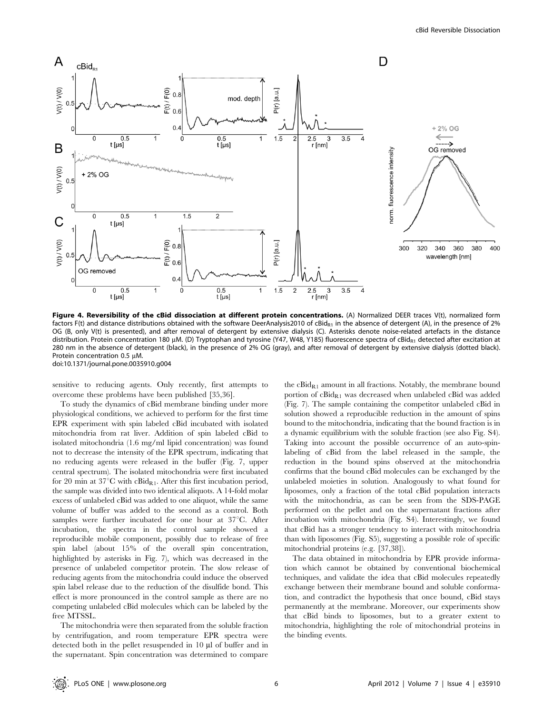

Figure 4. Reversibility of the cBid dissociation at different protein concentrations. (A) Normalized DEER traces V(t), normalized form factors F(t) and distance distributions obtained with the software DeerAnalysis2010 of cBid<sub>R1</sub> in the absence of detergent (A), in the presence of 2% OG (B, only V(t) is presented), and after removal of detergent by extensive dialysis (C). Asterisks denote noise-related artefacts in the distance distribution. Protein concentration 180 µM. (D) Tryptophan and tyrosine (Y47, W48, Y185) fluorescence spectra of cBidR<sub>1</sub> detected after excitation at 280 nm in the absence of detergent (black), in the presence of 2% OG (gray), and after removal of detergent by extensive dialysis (dotted black). Protein concentration 0.5 uM. doi:10.1371/journal.pone.0035910.g004

sensitive to reducing agents. Only recently, first attempts to overcome these problems have been published [35,36].

To study the dynamics of cBid membrane binding under more physiological conditions, we achieved to perform for the first time EPR experiment with spin labeled cBid incubated with isolated mitochondria from rat liver. Addition of spin labeled cBid to isolated mitochondria (1.6 mg/ml lipid concentration) was found not to decrease the intensity of the EPR spectrum, indicating that no reducing agents were released in the buffer (Fig. 7, upper central spectrum). The isolated mitochondria were first incubated for 20 min at 37°C with  $cBid_{R1}$ . After this first incubation period, the sample was divided into two identical aliquots. A 14-fold molar excess of unlabeled cBid was added to one aliquot, while the same volume of buffer was added to the second as a control. Both samples were further incubated for one hour at  $37^{\circ}$ C. After incubation, the spectra in the control sample showed a reproducible mobile component, possibly due to release of free spin label (about 15% of the overall spin concentration, highlighted by asterisks in Fig. 7), which was decreased in the presence of unlabeled competitor protein. The slow release of reducing agents from the mitochondria could induce the observed spin label release due to the reduction of the disulfide bond. This effect is more pronounced in the control sample as there are no competing unlabeled cBid molecules which can be labeled by the free MTSSL.

The mitochondria were then separated from the soluble fraction by centrifugation, and room temperature EPR spectra were detected both in the pellet resuspended in 10 µl of buffer and in the supernatant. Spin concentration was determined to compare

the  $cBid_{R1}$  amount in all fractions. Notably, the membrane bound portion of  $cBid_{R1}$  was decreased when unlabeled  $cBid$  was added (Fig. 7). The sample containing the competitor unlabeled cBid in solution showed a reproducible reduction in the amount of spins bound to the mitochondria, indicating that the bound fraction is in a dynamic equilibrium with the soluble fraction (see also Fig. S4). Taking into account the possible occurrence of an auto-spinlabeling of cBid from the label released in the sample, the reduction in the bound spins observed at the mitochondria confirms that the bound cBid molecules can be exchanged by the unlabeled moieties in solution. Analogously to what found for liposomes, only a fraction of the total cBid population interacts with the mitochondria, as can be seen from the SDS-PAGE performed on the pellet and on the supernatant fractions after incubation with mitochondria (Fig. S4). Interestingly, we found that cBid has a stronger tendency to interact with mitochondria than with liposomes (Fig. S5), suggesting a possible role of specific mitochondrial proteins (e.g. [37,38]).

The data obtained in mitochondria by EPR provide information which cannot be obtained by conventional biochemical techniques, and validate the idea that cBid molecules repeatedly exchange between their membrane bound and soluble conformation, and contradict the hypothesis that once bound, cBid stays permanently at the membrane. Moreover, our experiments show that cBid binds to liposomes, but to a greater extent to mitochondria, highlighting the role of mitochondrial proteins in the binding events.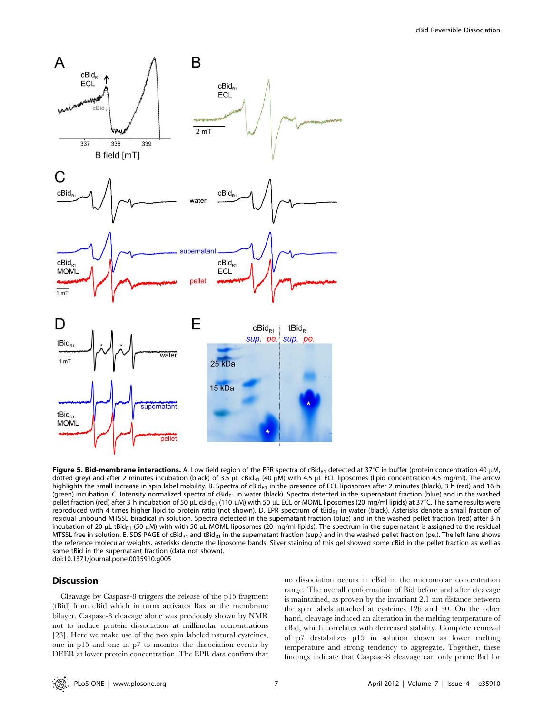

Figure 5. Bid-membrane interactions. A. Low field region of the EPR spectra of cBid<sub>R1</sub> detected at 37°C in buffer (protein concentration 40 µM, dotted grey) and after 2 minutes incubation (black) of 3.5  $\mu$ L cBid<sub>R1</sub> (40  $\mu$ M) with 4.5  $\mu$ L ECL liposomes (lipid concentration 4.5 mg/ml). The arrow highlights the small increase in spin label mobility. B. Spectra of cBid<sub>R1</sub> in the presence of ECL liposomes after 2 minutes (black), 3 h (red) and 16 h (green) incubation. C. Intensity normalized spectra of cBid<sub>R1</sub> in water (black). Spectra detected in the supernatant fraction (blue) and in the washed pellet fraction (red) after 3 h incubation of 50 µL cBidR<sub>1</sub> (110 µM) with 50 µL ECL or MOML liposomes (20 mg/ml lipids) at 37°C. The same results were reproduced with 4 times higher lipid to protein ratio (not shown). D. EPR spectrum of tBidR1 in water (black). Asterisks denote a small fraction of residual unbound MTSSL biradical in solution. Spectra detected in the supernatant fraction (blue) and in the washed pellet fraction (red) after 3 h incubation of 20 µL tBidR<sub>1</sub> (50 µM) with with 50 µL MOML liposomes (20 mg/ml lipids). The spectrum in the supernatant is assigned to the residual MTSSL free in solution. E. SDS PAGE of cBid<sub>R1</sub> and tBid<sub>R1</sub> in the supernatant fraction (sup.) and in the washed pellet fraction (pe.). The left lane shows the reference molecular weights, asterisks denote the liposome bands. Silver staining of this gel showed some cBid in the pellet fraction as well as some tBid in the supernatant fraction (data not shown). doi:10.1371/journal.pone.0035910.g005

# **Discussion**

Cleavage by Caspase-8 triggers the release of the p15 fragment (tBid) from cBid which in turns activates Bax at the membrane bilayer. Caspase-8 cleavage alone was previously shown by NMR not to induce protein dissociation at millimolar concentrations [23]. Here we make use of the two spin labeled natural cysteines, one in p15 and one in p7 to monitor the dissociation events by DEER at lower protein concentration. The EPR data confirm that

no dissociation occurs in cBid in the micromolar concentration range. The overall conformation of Bid before and after cleavage is maintained, as proven by the invariant 2.1 nm distance between the spin labels attached at cysteines 126 and 30. On the other hand, cleavage induced an alteration in the melting temperature of cBid, which correlates with decreased stability. Complete removal of p7 destabilizes p15 in solution shown as lower melting temperature and strong tendency to aggregate. Together, these findings indicate that Caspase-8 cleavage can only prime Bid for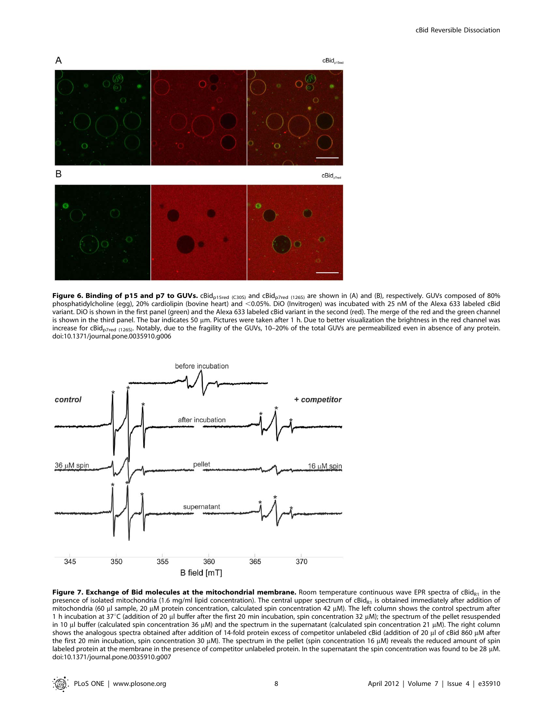

**Figure 6. Binding of p15 and p7 to GUVs.** cBid<sub>p15red (C305)</sub> and cBid<sub>p7red (1265) are shown in (A) and (B), respectively. GUVs composed of 80%</sub> phosphatidylcholine (egg), 20% cardiolipin (bovine heart) and <0.05%. DiO (Invitrogen) was incubated with 25 nM of the Alexa 633 labeled cBid variant. DiO is shown in the first panel (green) and the Alexa 633 labeled cBid variant in the second (red). The merge of the red and the green channel is shown in the third panel. The bar indicates 50 µm. Pictures were taken after 1 h. Due to better visualization the brightness in the red channel was increase for cBid<sub>p7red (126S)</sub>. Notably, due to the fragility of the GUVs, 10–20% of the total GUVs are permeabilized even in absence of any protein. doi:10.1371/journal.pone.0035910.g006



Figure 7. Exchange of Bid molecules at the mitochondrial membrane. Room temperature continuous wave EPR spectra of cBid<sub>R1</sub> in the presence of isolated mitochondria (1.6 mg/ml lipid concentration). The central upper spectrum of cBid<sub>R1</sub> is obtained immediately after addition of mitochondria (60 µl sample, 20 µM protein concentration, calculated spin concentration 42 µM). The left column shows the control spectrum after 1 h incubation at  $37^{\circ}$ C (addition of 20 µl buffer after the first 20 min incubation, spin concentration 32 µM); the spectrum of the pellet resuspended in 10  $\mu$ l buffer (calculated spin concentration 36  $\mu$ M) and the spectrum in the supernatant (calculated spin concentration 21  $\mu$ M). The right column shows the analogous spectra obtained after addition of 14-fold protein excess of competitor unlabeled cBid (addition of 20 µl of cBid 860 µM after the first 20 min incubation, spin concentration 30  $\mu$ M). The spectrum in the pellet (spin concentration 16  $\mu$ M) reveals the reduced amount of spin labeled protein at the membrane in the presence of competitor unlabeled protein. In the supernatant the spin concentration was found to be 28 µM. doi:10.1371/journal.pone.0035910.g007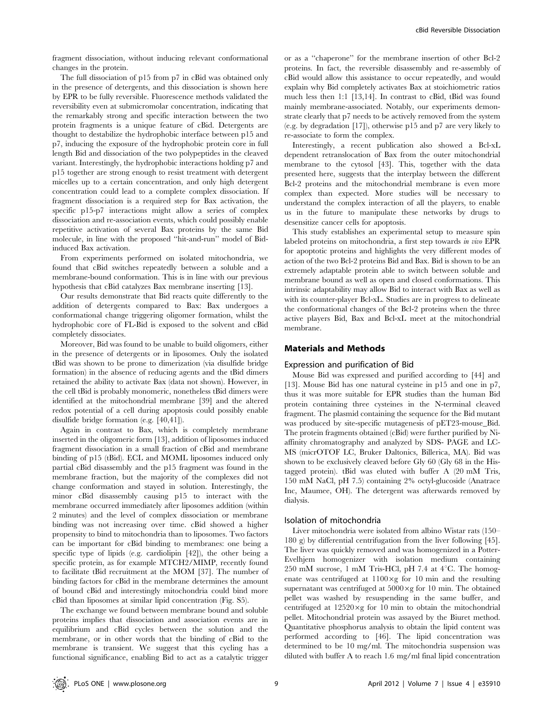The full dissociation of p15 from p7 in cBid was obtained only in the presence of detergents, and this dissociation is shown here by EPR to be fully reversible. Fluorescence methods validated the reversibility even at submicromolar concentration, indicating that the remarkably strong and specific interaction between the two protein fragments is a unique feature of cBid. Detergents are thought to destabilize the hydrophobic interface between p15 and p7, inducing the exposure of the hydrophobic protein core in full length Bid and dissociation of the two polypeptides in the cleaved variant. Interestingly, the hydrophobic interactions holding p7 and p15 together are strong enough to resist treatment with detergent micelles up to a certain concentration, and only high detergent concentration could lead to a complete complex dissociation. If fragment dissociation is a required step for Bax activation, the specific p15-p7 interactions might allow a series of complex dissociation and re-association events, which could possibly enable repetitive activation of several Bax proteins by the same Bid molecule, in line with the proposed ''hit-and-run'' model of Bidinduced Bax activation.

From experiments performed on isolated mitochondria, we found that cBid switches repeatedly between a soluble and a membrane-bound conformation. This is in line with our previous hypothesis that cBid catalyzes Bax membrane inserting [13].

Our results demonstrate that Bid reacts quite differently to the addition of detergents compared to Bax: Bax undergoes a conformational change triggering oligomer formation, whilst the hydrophobic core of FL-Bid is exposed to the solvent and cBid completely dissociates.

Moreover, Bid was found to be unable to build oligomers, either in the presence of detergents or in liposomes. Only the isolated tBid was shown to be prone to dimerization (via disulfide bridge formation) in the absence of reducing agents and the tBid dimers retained the ability to activate Bax (data not shown). However, in the cell tBid is probably monomeric, nonetheless tBid dimers were identified at the mitochondrial membrane [39] and the altered redox potential of a cell during apoptosis could possibly enable disulfide bridge formation (e.g. [40,41]).

Again in contrast to Bax, which is completely membrane inserted in the oligomeric form [13], addition of liposomes induced fragment dissociation in a small fraction of cBid and membrane binding of p15 (tBid). ECL and MOML liposomes induced only partial cBid disassembly and the p15 fragment was found in the membrane fraction, but the majority of the complexes did not change conformation and stayed in solution. Interestingly, the minor cBid disassembly causing p15 to interact with the membrane occurred immediately after liposomes addition (within 2 minutes) and the level of complex dissociation or membrane binding was not increasing over time. cBid showed a higher propensity to bind to mitochondria than to liposomes. Two factors can be important for cBid binding to membranes: one being a specific type of lipids (e.g. cardiolipin [42]), the other being a specific protein, as for example MTCH2/MIMP, recently found to facilitate tBid recruitment at the MOM [37]. The number of binding factors for cBid in the membrane determines the amount of bound cBid and interestingly mitochondria could bind more cBid than liposomes at similar lipid concentration (Fig. S5).

The exchange we found between membrane bound and soluble proteins implies that dissociation and association events are in equilibrium and cBid cycles between the solution and the membrane, or in other words that the binding of cBid to the membrane is transient. We suggest that this cycling has a functional significance, enabling Bid to act as a catalytic trigger or as a ''chaperone'' for the membrane insertion of other Bcl-2 proteins. In fact, the reversible disassembly and re-assembly of cBid would allow this assistance to occur repeatedly, and would explain why Bid completely activates Bax at stoichiometric ratios much less then 1:1 [13,14]. In contrast to cBid, tBid was found mainly membrane-associated. Notably, our experiments demonstrate clearly that p7 needs to be actively removed from the system (e.g. by degradation [17]), otherwise p15 and p7 are very likely to re-associate to form the complex.

Interestingly, a recent publication also showed a Bcl-xL dependent retranslocation of Bax from the outer mitochondrial membrane to the cytosol [43]. This, together with the data presented here, suggests that the interplay between the different Bcl-2 proteins and the mitochondrial membrane is even more complex than expected. More studies will be necessary to understand the complex interaction of all the players, to enable us in the future to manipulate these networks by drugs to desensitize cancer cells for apoptosis.

This study establishes an experimental setup to measure spin labeled proteins on mitochondria, a first step towards in vivo EPR for apoptotic proteins and highlights the very different modes of action of the two Bcl-2 proteins Bid and Bax. Bid is shown to be an extremely adaptable protein able to switch between soluble and membrane bound as well as open and closed conformations. This intrinsic adaptability may allow Bid to interact with Bax as well as with its counter-player Bcl-xL. Studies are in progress to delineate the conformational changes of the Bcl-2 proteins when the three active players Bid, Bax and Bcl-xL meet at the mitochondrial membrane.

# Materials and Methods

#### Expression and purification of Bid

Mouse Bid was expressed and purified according to [44] and [13]. Mouse Bid has one natural cysteine in p15 and one in p7, thus it was more suitable for EPR studies than the human Bid protein containing three cysteines in the N-terminal cleaved fragment. The plasmid containing the sequence for the Bid mutant was produced by site-specific mutagenesis of pET23-mouse\_Bid. The protein fragments obtained (cBid) were further purified by Niaffinity chromatography and analyzed by SDS- PAGE and LC-MS (micrOTOF LC, Bruker Daltonics, Billerica, MA). Bid was shown to be exclusively cleaved before Gly 60 (Gly 68 in the Histagged protein). tBid was eluted with buffer A (20 mM Tris, 150 mM NaCl, pH 7.5) containing 2% octyl-glucoside (Anatrace Inc, Maumee, OH). The detergent was afterwards removed by dialysis.

#### Isolation of mitochondria

Liver mitochondria were isolated from albino Wistar rats (150– 180 g) by differential centrifugation from the liver following [45]. The liver was quickly removed and was homogenized in a Potter-Evelhjem homogenizer with isolation medium containing 250 mM sucrose, 1 mM Tris-HCl, pH 7.4 at  $4^{\circ}$ C. The homogenate was centrifuged at  $1100 \times g$  for 10 min and the resulting supernatant was centrifuged at  $5000 \times g$  for 10 min. The obtained pellet was washed by resuspending in the same buffer, and centrifuged at  $12520 \times g$  for 10 min to obtain the mitochondrial pellet. Mitochondrial protein was assayed by the Biuret method. Quantitative phosphorus analysis to obtain the lipid content was performed according to [46]. The lipid concentration was determined to be 10 mg/ml. The mitochondria suspension was diluted with buffer A to reach 1.6 mg/ml final lipid concentration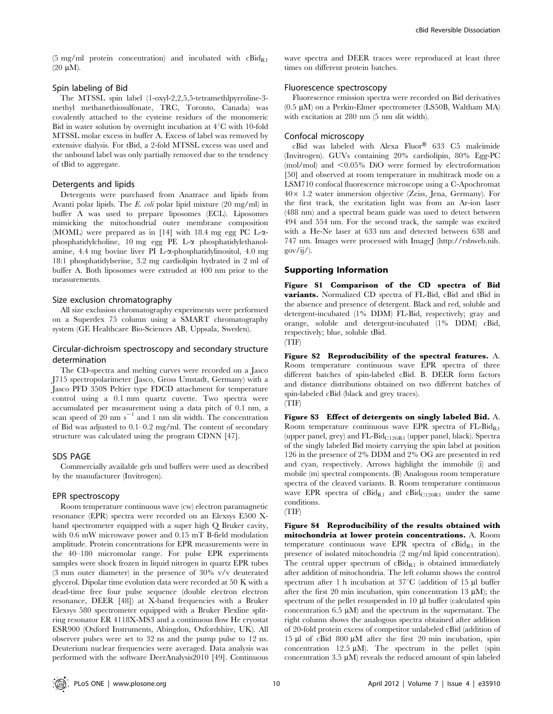(5 mg/ml protein concentration) and incubated with  $cBid_{R1}$  $(20 \mu M)$ .

# Spin labeling of Bid

The MTSSL spin label (1-oxyl-2,2,5,5-tetramethlpyrroline-3 methyl methanethiosulfonate, TRC, Toronto, Canada) was covalently attached to the cysteine residues of the monomeric Bid in water solution by overnight incubation at  $4^{\circ}$ C with 10-fold MTSSL molar excess in buffer A. Excess of label was removed by extensive dialysis. For tBid, a 2-fold MTSSL excess was used and the unbound label was only partially removed due to the tendency of tBid to aggregate.

#### Detergents and lipids

Detergents were purchased from Anatrace and lipids from Avanti polar lipids. The E. coli polar lipid mixture (20 mg/ml) in buffer A was used to prepare liposomes (ECL). Liposomes mimicking the mitochondrial outer membrane composition (MOML) were prepared as in [14] with 18.4 mg egg PC L-aphosphatidylcholine, 10 mg egg PE L-a phosphatidylethanolamine, 4.4 mg bovine liver PI L-x-phosphatidylinositol, 4.0 mg 18:1 phosphatidylserine, 3.2 mg cardiolipin hydrated in 2 ml of buffer A. Both liposomes were extruded at 400 nm prior to the measurements.

# Size exclusion chromatography

All size exclusion chromatography experiments were performed on a Superdex 75 column using a SMART chromatography system (GE Healthcare Bio-Sciences AB, Uppsala, Sweden).

# Circular-dichroism spectroscopy and secondary structure determination

The CD-spectra and melting curves were recorded on a Jasco J715 spectropolarimeter (Jasco, Gross Umstadt, Germany) with a Jasco PFD 350S Peltier type FDCD attachment for temperature control using a 0.1 mm quartz cuvette. Two spectra were accumulated per measurement using a data pitch of 0.1 nm, a scan speed of 20 nm  $s^{-1}$  and 1 nm slit width. The concentration of Bid was adjusted to 0.1–0.2 mg/ml. The content of secondary structure was calculated using the program CDNN [47].

#### SDS PAGE

Commercially available gels und buffers were used as described by the manufacturer (Invitrogen).

#### EPR spectroscopy

Room temperature continuous wave (cw) electron paramagnetic resonance (EPR) spectra were recorded on an Elexsys E500 Xband spectrometer equipped with a super high Q Bruker cavity, with 0.6 mW microwave power and 0.15 mT B-field modulation amplitude. Protein concentrations for EPR measurements were in the 40–180 micromolar range. For pulse EPR experiments samples were shock frozen in liquid nitrogen in quartz EPR tubes (3 mm outer diameter) in the presence of 30% v/v deuterated glycerol. Dipolar time evolution data were recorded at 50 K with a dead-time free four pulse sequence (double electron electron resonance, DEER [48]) at X-band frequencies with a Bruker Elexsys 580 spectrometer equipped with a Bruker Flexline splitring resonator ER 4118X-MS3 and a continuous flow He cryostat ESR900 (Oxford Instruments, Abingdon, Oxfordshire, UK). All observer pulses were set to 32 ns and the pump pulse to 12 ns. Deuterium nuclear frequencies were averaged. Data analysis was performed with the software DeerAnalysis2010 [49]. Continuous wave spectra and DEER traces were reproduced at least three times on different protein batches.

# Fluorescence spectroscopy

Fluorescence emission spectra were recorded on Bid derivatives  $(0.5 \mu M)$  on a Perkin-Elmer spectrometer (LS50B, Waltham MA) with excitation at 280 nm (5 nm slit width).

# Confocal microscopy

 $cBid$  was labeled with Alexa  $Fluor^@$  633 C5 maleimide (Invitrogen). GUVs containing 20% cardiolipin, 80% Egg-PC (mol/mol) and  $\leq 0.05\%$  DiO were formed by electroformation [50] and observed at room temperature in multitrack mode on a LSM710 confocal fluorescence microscope using a C-Apochromat  $40\times$  1.2 water immersion objective (Zeiss, Jena, Germany). For the first track, the excitation light was from an Ar-ion laser (488 nm) and a spectral beam guide was used to detect between 494 and 554 nm. For the second track, the sample was excited with a He-Ne laser at 633 nm and detected between 638 and 747 nm. Images were processed with ImageJ (http://rsbweb.nih. gov/ij/).

#### Supporting Information

Figure S1 Comparison of the CD spectra of Bid variants. Normalized CD spectra of FL-Bid, cBid and tBid in the absence and presence of detergent. Black and red, soluble and detergent-incubated (1% DDM) FL-Bid, respectively; gray and orange, soluble and detergent-incubated (1% DDM) cBid, respectively; blue, soluble tBid.



Figure S2 Reproducibility of the spectral features. A. Room temperature continuous wave EPR spectra of three different batches of spin-labeled cBid. B. DEER form factors and distance distributions obtained on two different batches of spin-labeled cBid (black and grey traces). (TIF)

Figure S3 Effect of detergents on singly labeled Bid. A. Room temperature continuous wave EPR spectra of  $FL-Bid_{R1}$ (upper panel, grey) and  $FL-Bid_{C126R1}$  (upper panel, black). Spectra of the singly labeled Bid moiety carrying the spin label at position 126 in the presence of 2% DDM and 2% OG are presented in red and cyan, respectively. Arrows highlight the immobile (i) and mobile (m) spectral components. (B) Analogous room temperature spectra of the cleaved variants. B. Room temperature continuous wave EPR spectra of  $cBid_{R1}$  and  $cBid_{C126R1}$  under the same conditions.



Figure S4 Reproducibility of the results obtained with mitochondria at lower protein concentrations. A. Room temperature continuous wave EPR spectra of  $cBid_{R1}$  in the presence of isolated mitochondria (2 mg/ml lipid concentration). The central upper spectrum of  $cBid_{R1}$  is obtained immediately after addition of mitochondria. The left column shows the control spectrum after 1 h incubation at  $37^{\circ}$ C (addition of 15 µl buffer after the first 20 min incubation, spin concentration 13  $\mu$ M); the spectrum of the pellet resuspended in  $10 \mu l$  buffer (calculated spin concentration 6.5  $\mu$ M) and the spectrum in the supernatant. The right column shows the analogous spectra obtained after addition of 20-fold protein excess of competitor unlabeled cBid (addition of 15  $\mu$ l of cBid 800  $\mu$ M after the first 20 min incubation, spin concentration 12.5  $\mu$ M). The spectrum in the pellet (spin concentration 3.5  $\mu$ M) reveals the reduced amount of spin labeled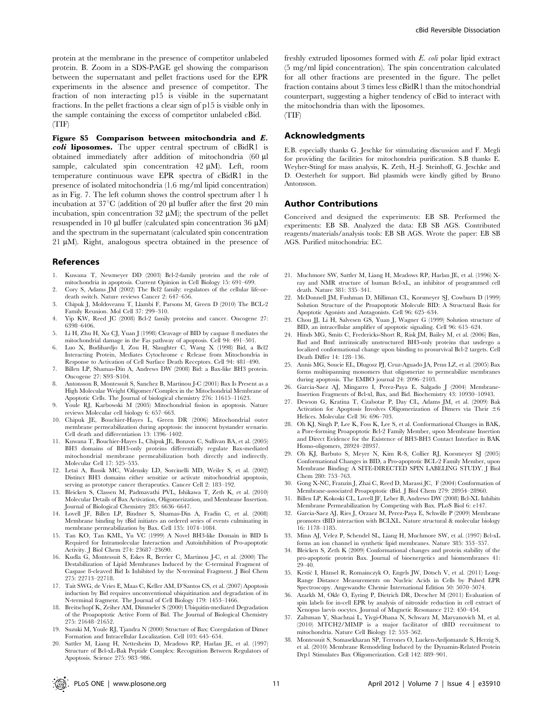protein at the membrane in the presence of competitor unlabeled protein. B. Zoom in a SDS-PAGE gel showing the comparison between the supernatant and pellet fractions used for the EPR experiments in the absence and presence of competitor. The fraction of non interacting p15 is visible in the supernatant fractions. In the pellet fractions a clear sign of p15 is visible only in the sample containing the excess of competitor unlabeled cBid. (TIF)

Figure S5 Comparison between mitochondria and E. coli liposomes. The upper central spectrum of cBidR1 is obtained immediately after addition of mitochondria (60 ml sample, calculated spin concentration  $42 \mu M$ ). Left, room temperature continuous wave EPR spectra of cBidR1 in the presence of isolated mitochondria (1.6 mg/ml lipid concentration) as in Fig. 7. The left column shows the control spectrum after 1 h incubation at  $37^{\circ}$ C (addition of 20 µl buffer after the first 20 min incubation, spin concentration 32  $\mu$ M); the spectrum of the pellet resuspended in 10  $\mu$ l buffer (calculated spin concentration 36  $\mu$ M) and the spectrum in the supernatant (calculated spin concentration 21  $\mu$ M). Right, analogous spectra obtained in the presence of

#### References

- 1. Kuwana T, Newmeyer DD (2003) Bcl-2-family proteins and the role of mitochondria in apoptosis. Current Opinion in Cell Biology 15: 691–699.
- 2. Cory S, Adams JM (2002) The Bcl2 family: regulators of the cellular life-ordeath switch. Nature reviews Cancer 2: 647–656.
- 3. Chipuk J, Moldoveanu T, Llambi F, Parsons M, Green D (2010) The BCL-2 Family Reunion. Mol Cell 37: 299–310.
- 4. Yip KW, Reed JC (2008) Bcl-2 family proteins and cancer. Oncogene 27: 6398–6406.
- 5. Li H, Zhu H, Xu CJ, Yuan J (1998) Cleavage of BID by caspase 8 mediates the mitochondrial damage in the Fas pathway of apoptosis. Cell 94: 491–501.
- 6. Luo X, Budihardjo I, Zou H, Slaughter C, Wang X (1998) Bid, a Bcl2 Interacting Protein, Mediates Cytochrome c Release from Mitochondria in Response to Activation of Cell Surface Death Receptors. Cell 94: 481–490.
- 7. Billen LP, Shamas-Din A, Andrews DW (2008) Bid: a Bax-like BH3 protein. Oncogene 27: S93–S104.
- 8. Antonsson B, Montessuit S, Sanchez B, Martinou J-C (2001) Bax Is Present as a High Molecular Weight Oligomer/Complex in the Mitochondrial Membrane of Apoptotic Cells. The Journal of biological chemistry 276: 11615–11623.
- 9. Youle RJ, Karbowski M (2005) Mitochondrial fission in apoptosis. Nature reviews Molecular cell biology 6: 657–663.
- 10. Chipuk JE, Bouchier-Hayes L, Green DR (2006) Mitochondrial outer membrane permeabilization during apoptosis: the innocent bystander scenario. Cell death and differentiation 13: 1396–1402.
- 11. Kuwana T, Bouchier-Hayes L, Chipuk JE, Bonzon C, Sullivan BA, et al. (2005) BH3 domains of BH3-only proteins differentially regulate Bax-mediated mitochondrial membrane permeabilization both directly and indirectly. Molecular Cell 17: 525–535.
- 12. Letai A, Bassik MC, Walensky LD, Sorcinelli MD, Weiler S, et al. (2002) Distinct BH3 domains either sensitize or activate mitochondrial apoptosis, serving as prototype cancer therapeutics. Cancer Cell 2: 183–192.
- 13. Bleicken S, Classen M, Padmavathi PVL, Ishikawa T, Zeth K, et al. (2010) Molecular Details of Bax Activation, Oligomerization, and Membrane Insertion. Journal of Biological Chemistry 285: 6636–6647.
- 14. Lovell JF, Billen LP, Bindner S, Shamas-Din A, Fradin C, et al. (2008) Membrane binding by tBid initiates an ordered series of events culminating in membrane permeabilization by Bax. Cell 135: 1074–1084.
- 15. Tan KO, Tan KML, Yu VC (1999) A Novel BH3-like Domain in BID Is Required for Intramolecular Interaction and Autoinhibition of Pro-apoptotic Activity. J Biol Chem 274: 23687–23690.
- 16. Kudla G, Montessuit S, Eskes R, Berrier C, Martinou J-C, et al. (2000) The Destabilization of Lipid Membranes Induced by the C-terminal Fragment of Caspase 8-cleaved Bid Is Inhibited by the N-terminal Fragment. J Biol Chem 275: 22713–22718.
- 17. Tait SWG, de Vries E, Maas C, Keller AM, D'Santos CS, et al. (2007) Apoptosis induction by Bid requires unconventional ubiquitination and degradation of its N-terminal fragment. The Journal of Cell Biology 179: 1453–1466.
- 18. Breitschopf K, Zeiher AM, Dimmeler S (2000) Ubiquitin-mediated Degradation of the Proapoptotic Active Form of Bid. The Journal of Biological Chemistry 275: 21648–21652.
- 19. Suzuki M, Youle RJ, Tjandra N (2000) Structure of Bax: Coregulation of Dimer Formation and Intracellular Localization. Cell 103: 645–654.
- 20. Sattler M, Liang H, Nettesheim D, Meadows RP, Harlan JE, et al. (1997) Structure of Bcl-xL-Bak Peptide Complex: Recognition Between Regulators of Apoptosis. Science 275: 983–986.

freshly extruded liposomes formed with E. coli polar lipid extract (5 mg/ml lipid concentration). The spin concentration calculated for all other fractions are presented in the figure. The pellet fraction contains about 3 times less cBidR1 than the mitochondrial counterpart, suggesting a higher tendency of cBid to interact with the mitochondria than with the liposomes. (TIF)

#### Acknowledgments

E.B. especially thanks G. Jeschke for stimulating discussion and F. Megli for providing the facilities for mitochondria purification. S.B thanks E. Weyher-Stingl for mass analysis, K. Zeth, H.-J. Steinhoff, G. Jeschke and D. Oesterhelt for support. Bid plasmids were kindly gifted by Bruno Antonsson.

#### Author Contributions

Conceived and designed the experiments: EB SB. Performed the experiments: EB SB. Analyzed the data: EB SB AGS. Contributed reagents/materials/analysis tools: EB SB AGS. Wrote the paper: EB SB AGS. Purified mitochondria: EC.

- 21. Muchmore SW, Sattler M, Liang H, Meadows RP, Harlan JE, et al. (1996) Xray and NMR structure of human Bcl-xL, an inhibitor of programmed cell death. Nature 381: 335–341.
- 22. McDonnell JM, Fushman D, Milliman CL, Korsmeyer SJ, Cowburn D (1999) Solution Structure of the Proapoptotic Molecule BID: A Structural Basis for Apoptotic Agonists and Antagonists. Cell 96: 625–634.
- 23. Chou JJ, Li H, Salvesen GS, Yuan J, Wagner G (1999) Solution structure of BID, an intracellular amplifier of apoptotic signaling. Cell 96: 615–624.
- 24. Hinds MG, Smits C, Fredericks-Short R, Risk JM, Bailey M, et al. (2006) Bim, Bad and Bmf: intrinsically unstructured BH3-only proteins that undergo a localized conformational change upon binding to prosurvival Bcl-2 targets. Cell Death Differ 14: 128–136.
- 25. Annis MG, Soucie EL, Dlugosz PJ, Cruz-Aguado JA, Penn LZ, et al. (2005) Bax forms multispanning monomers that oligomerize to permeabilize membranes during apoptosis. The EMBO journal 24: 2096–2103.
- 26. Garcia-Saez AJ, Mingarro I, Perez-Paya E, Salgado J (2004) Membrane-Insertion Fragments of Bcl-xl, Bax, and Bid. Biochemistry 43: 10930–10943.
- 27. Dewson G, Kratina T, Czabotar P, Day CL, Adams JM, et al. (2009) Bak Activation for Apoptosis Involves Oligomerization of Dimers via Their  $\pm 6$ Helices. Molecular Cell 36: 696–703.
- 28. Oh KJ, Singh P, Lee K, Foss K, Lee S, et al. Conformational Changes in BAK, a Pore-forming Proapoptotic Bcl-2 Family Member, upon Membrane Insertion and Direct Evidence for the Existence of BH3-BH3 Contact Interface in BAK Homo-oligomers, 28924–28937.
- 29. Oh KJ, Barbuto S, Meyer N, Kim R-S, Collier RJ, Korsmeyer SJ (2005) Conformational Changes in BID, a Pro-apoptotic BCL-2 Family Member, upon Membrane Binding: A SITE-DIRECTED SPIN LABELING STUDY. J Biol Chem 280: 753–763.
- 30. Gong X-NC, Franzin J, Zhai C, Reed D, Marassi JC, F (2004) Conformation of Membrane-associated Proapoptotic tBid. J Biol Chem 279: 28954–28960.
- 31. Billen LP, Kokoski CL, Lovell JF, Leber B, Andrews DW (2008) Bcl-XL Inhibits Membrane Permeabilization by Competing with Bax. PLoS Biol 6: e147.
- 32. Garcia-Saez AJ, Ries J, Orzaez M, Perez-Paya E, Schwille P (2009) Membrane promotes tBID interaction with BCLXL. Nature structural & molecular biology 16: 1178–1185.
- 33. Minn AJ, Velez P, Schendel SL, Liang H, Muchmore SW, et al. (1997) Bcl-xL forms an ion channel in synthetic lipid membranes. Nature 385: 353–357.
- 34. Bleicken S, Zeth K (2009) Conformational changes and protein stability of the pro-apoptotic protein Bax. Journal of bioenergetics and biomembranes 41: 29–40.
- 35. Krstić I, Hänsel R, Romainczyk O, Engels JW, Dötsch V, et al. (2011) Long-Range Distance Measurements on Nucleic Acids in Cells by Pulsed EPR Spectroscopy. Angewandte Chemie International Edition 50: 5070–5074.
- 36. Azarkh M, Okle O, Eyring P, Dietrich DR, Drescher M (2011) Evaluation of spin labels for in-cell EPR by analysis of nitroxide reduction in cell extract of Xenopus laevis oocytes. Journal of Magnetic Resonance 212: 450–454.
- 37. Zaltsman Y, Shachnai L, Yivgi-Ohana N, Schwarz M, Maryanovich M, et al. (2010) MTCH2/MIMP is a major facilitator of tBID recruitment to mitochondria. Nature Cell Biology 12: 553–562.
- 38. Montessuit S, Somasekharan SP, Terrones O, Lucken-Ardjomande S, Herzig S, et al. (2010) Membrane Remodeling Induced by the Dynamin-Related Protein Drp1 Stimulates Bax Oligomerization. Cell 142: 889–901.